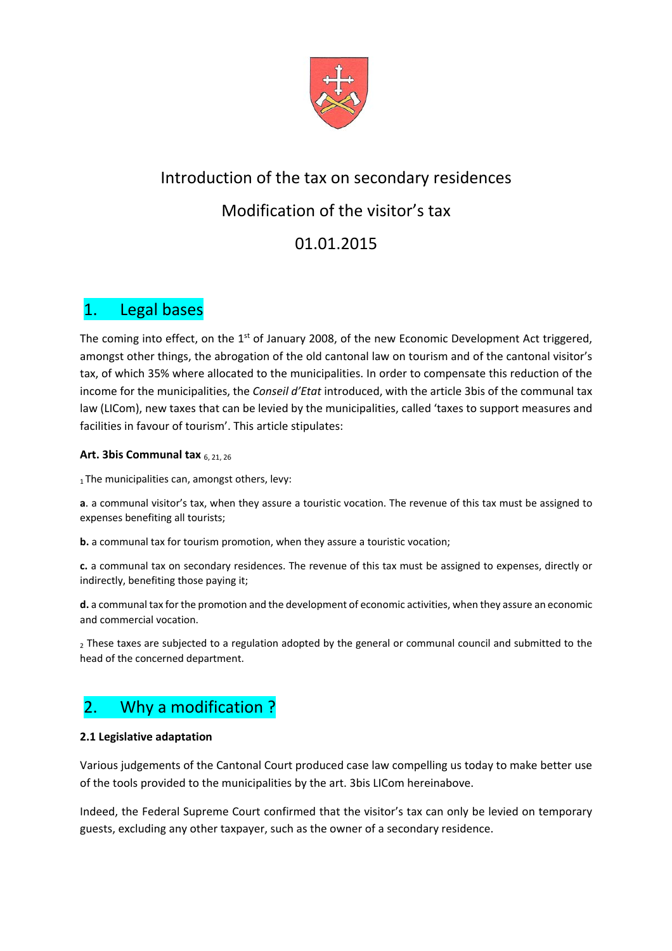

# Introduction of the tax on secondary residences Modification of the visitor's tax 01.01.2015

### 1. Legal bases

The coming into effect, on the 1<sup>st</sup> of January 2008, of the new Economic Development Act triggered, amongst other things, the abrogation of the old cantonal law on tourism and of the cantonal visitor's tax, of which 35% where allocated to the municipalities. In order to compensate this reduction of the income for the municipalities, the *Conseil d'Etat* introduced, with the article 3bis of the communal tax law (LICom), new taxes that can be levied by the municipalities, called 'taxes to support measures and facilities in favour of tourism'. This article stipulates:

### **Art. 3bis Communal tax** 6, 21, <sup>26</sup>

 $1$  The municipalities can, amongst others, levy:

**a**. a communal visitor's tax, when they assure a touristic vocation. The revenue of this tax must be assigned to expenses benefiting all tourists;

**b.** a communal tax for tourism promotion, when they assure a touristic vocation;

**c.** a communal tax on secondary residences. The revenue of this tax must be assigned to expenses, directly or indirectly, benefiting those paying it;

**d.** a communal tax for the promotion and the development of economic activities, when they assure an economic and commercial vocation.

<sub>2</sub> These taxes are subjected to a regulation adopted by the general or communal council and submitted to the head of the concerned department.

# 2. Why a modification ?

### **2.1 Legislative adaptation**

Various judgements of the Cantonal Court produced case law compelling us today to make better use of the tools provided to the municipalities by the art. 3bis LICom hereinabove.

Indeed, the Federal Supreme Court confirmed that the visitor's tax can only be levied on temporary guests, excluding any other taxpayer, such as the owner of a secondary residence.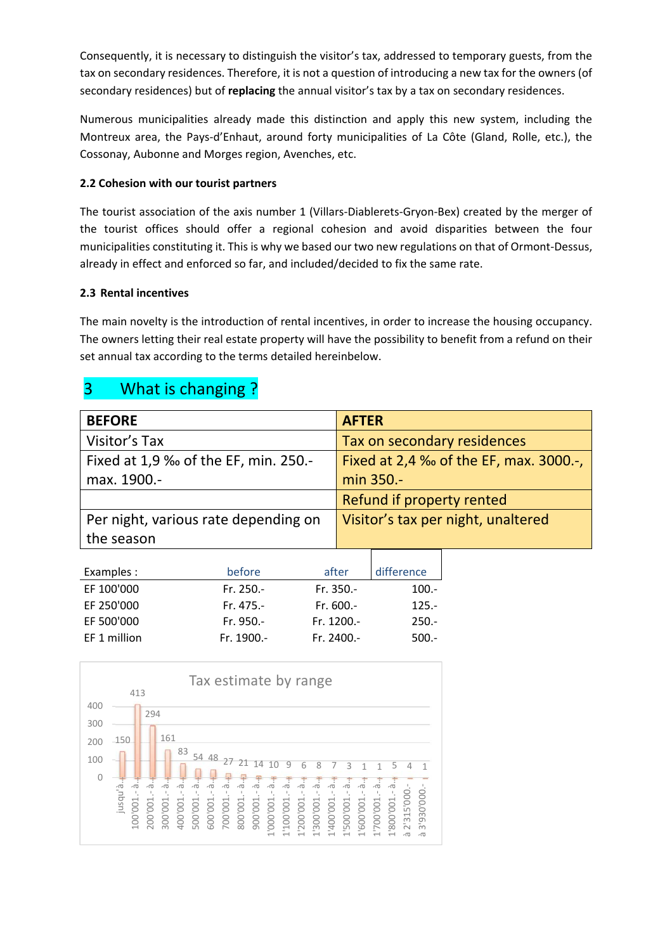Consequently, it is necessary to distinguish the visitor's tax, addressed to temporary guests, from the tax on secondary residences. Therefore, it is not a question of introducing a new tax for the owners (of secondary residences) but of **replacing** the annual visitor's tax by a tax on secondary residences.

Numerous municipalities already made this distinction and apply this new system, including the Montreux area, the Pays‐d'Enhaut, around forty municipalities of La Côte (Gland, Rolle, etc.), the Cossonay, Aubonne and Morges region, Avenches, etc.

### **2.2 Cohesion with our tourist partners**

The tourist association of the axis number 1 (Villars‐Diablerets‐Gryon‐Bex) created by the merger of the tourist offices should offer a regional cohesion and avoid disparities between the four municipalities constituting it. This is why we based our two new regulations on that of Ormont‐Dessus, already in effect and enforced so far, and included/decided to fix the same rate.

### **2.3 Rental incentives**

The main novelty is the introduction of rental incentives, in order to increase the housing occupancy. The owners letting their real estate property will have the possibility to benefit from a refund on their set annual tax according to the terms detailed hereinbelow.

# 3 What is changing ?

| <b>BEFORE</b>                        |           |             | <b>AFTER</b>                           |            |  |
|--------------------------------------|-----------|-------------|----------------------------------------|------------|--|
| Visitor's Tax                        |           |             | Tax on secondary residences            |            |  |
| Fixed at 1,9 ‰ of the EF, min. 250.- |           |             | Fixed at 2,4 ‰ of the EF, max. 3000.-, |            |  |
| max. 1900.-                          |           |             | min 350.-                              |            |  |
|                                      |           |             | Refund if property rented              |            |  |
| Per night, various rate depending on |           |             | Visitor's tax per night, unaltered     |            |  |
| the season                           |           |             |                                        |            |  |
|                                      |           |             |                                        |            |  |
| Examples :                           | before    | after       |                                        | difference |  |
| EF 100'000                           | Fr. 250.- | Fr. 350.-   |                                        | $100 -$    |  |
| EF 250'000                           | Fr. 475.- | $Fr. 600 -$ |                                        | $125 -$    |  |



EF 500'000 Fr. 950.‐ Fr. 1200.‐ 250.‐ EF 1 million Fr. 1900.‐ Fr. 2400.‐ 500.‐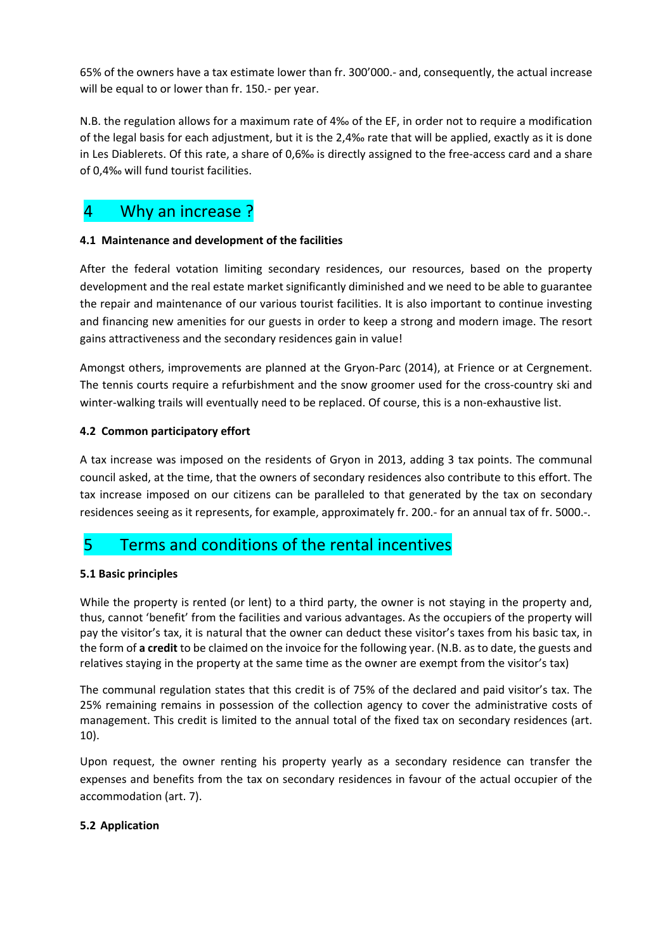65% of the owners have a tax estimate lower than fr. 300'000.‐ and, consequently, the actual increase will be equal to or lower than fr. 150.‐ per year.

N.B. the regulation allows for a maximum rate of 4‰ of the EF, in order not to require a modification of the legal basis for each adjustment, but it is the 2,4‰ rate that will be applied, exactly as it is done in Les Diablerets. Of this rate, a share of 0,6‰ is directly assigned to the free‐access card and a share of 0,4‰ will fund tourist facilities.

### 4 Why an increase ?

### **4.1 Maintenance and development of the facilities**

After the federal votation limiting secondary residences, our resources, based on the property development and the real estate market significantly diminished and we need to be able to guarantee the repair and maintenance of our various tourist facilities. It is also important to continue investing and financing new amenities for our guests in order to keep a strong and modern image. The resort gains attractiveness and the secondary residences gain in value!

Amongst others, improvements are planned at the Gryon-Parc (2014), at Frience or at Cergnement. The tennis courts require a refurbishment and the snow groomer used for the cross-country ski and winter-walking trails will eventually need to be replaced. Of course, this is a non-exhaustive list.

### **4.2 Common participatory effort**

A tax increase was imposed on the residents of Gryon in 2013, adding 3 tax points. The communal council asked, at the time, that the owners of secondary residences also contribute to this effort. The tax increase imposed on our citizens can be paralleled to that generated by the tax on secondary residences seeing as it represents, for example, approximately fr. 200.‐ for an annual tax of fr. 5000.‐.

# 5 Terms and conditions of the rental incentives

### **5.1 Basic principles**

While the property is rented (or lent) to a third party, the owner is not staying in the property and, thus, cannot 'benefit' from the facilities and various advantages. As the occupiers of the property will pay the visitor's tax, it is natural that the owner can deduct these visitor's taxes from his basic tax, in the form of **a credit** to be claimed on the invoice for the following year. (N.B. as to date, the guests and relatives staying in the property at the same time as the owner are exempt from the visitor's tax)

The communal regulation states that this credit is of 75% of the declared and paid visitor's tax. The 25% remaining remains in possession of the collection agency to cover the administrative costs of management. This credit is limited to the annual total of the fixed tax on secondary residences (art. 10).

Upon request, the owner renting his property yearly as a secondary residence can transfer the expenses and benefits from the tax on secondary residences in favour of the actual occupier of the accommodation (art. 7).

### **5.2 Application**